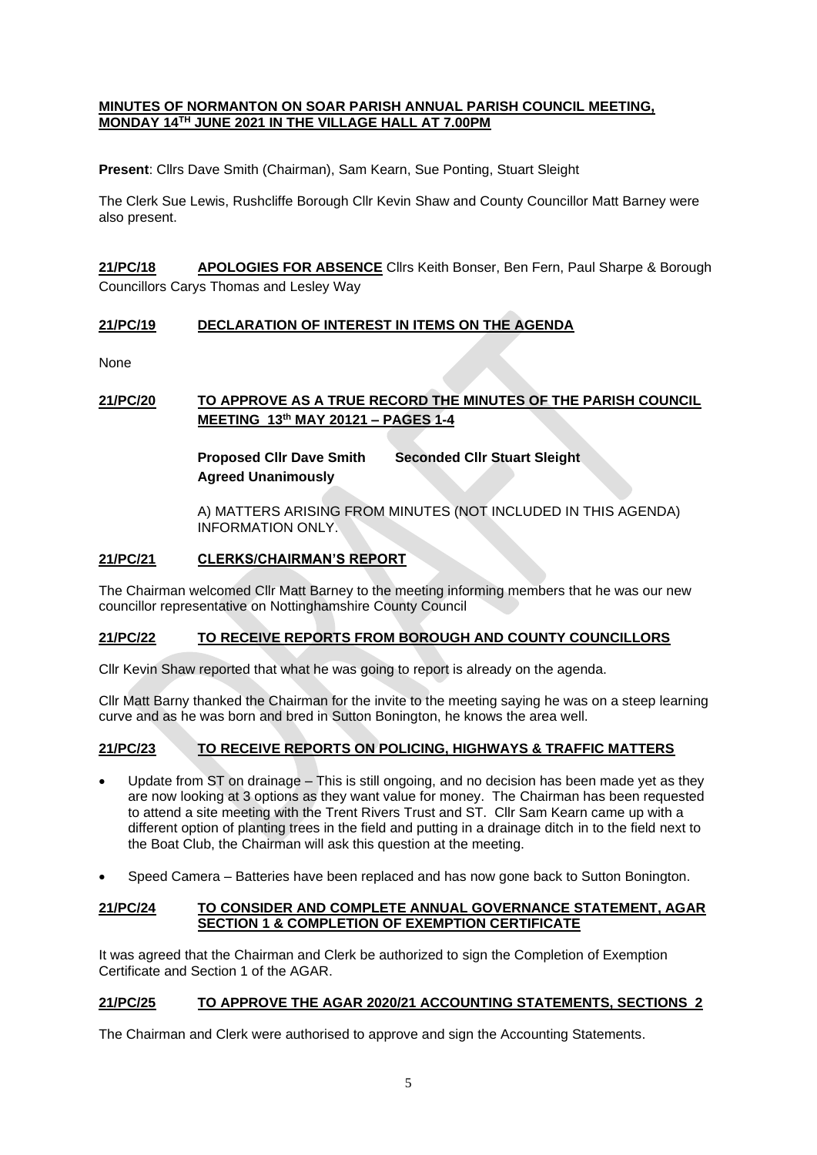#### **MINUTES OF NORMANTON ON SOAR PARISH ANNUAL PARISH COUNCIL MEETING, MONDAY 14TH JUNE 2021 IN THE VILLAGE HALL AT 7.00PM**

**Present**: Cllrs Dave Smith (Chairman), Sam Kearn, Sue Ponting, Stuart Sleight

The Clerk Sue Lewis, Rushcliffe Borough Cllr Kevin Shaw and County Councillor Matt Barney were also present.

**21/PC/18 APOLOGIES FOR ABSENCE** Cllrs Keith Bonser, Ben Fern, Paul Sharpe & Borough Councillors Carys Thomas and Lesley Way

# **21/PC/19 DECLARATION OF INTEREST IN ITEMS ON THE AGENDA**

None

# **21/PC/20 TO APPROVE AS A TRUE RECORD THE MINUTES OF THE PARISH COUNCIL MEETING 13th MAY 20121 – PAGES 1-4**

**Proposed Cllr Dave Smith Seconded Cllr Stuart Sleight Agreed Unanimously**

A) MATTERS ARISING FROM MINUTES (NOT INCLUDED IN THIS AGENDA) INFORMATION ONLY.

### **21/PC/21 CLERKS/CHAIRMAN'S REPORT**

The Chairman welcomed Cllr Matt Barney to the meeting informing members that he was our new councillor representative on Nottinghamshire County Council

### **21/PC/22 TO RECEIVE REPORTS FROM BOROUGH AND COUNTY COUNCILLORS**

Cllr Kevin Shaw reported that what he was going to report is already on the agenda.

Cllr Matt Barny thanked the Chairman for the invite to the meeting saying he was on a steep learning curve and as he was born and bred in Sutton Bonington, he knows the area well.

### **21/PC/23 TO RECEIVE REPORTS ON POLICING, HIGHWAYS & TRAFFIC MATTERS**

- Update from ST on drainage This is still ongoing, and no decision has been made yet as they are now looking at 3 options as they want value for money. The Chairman has been requested to attend a site meeting with the Trent Rivers Trust and ST. Cllr Sam Kearn came up with a different option of planting trees in the field and putting in a drainage ditch in to the field next to the Boat Club, the Chairman will ask this question at the meeting.
- Speed Camera Batteries have been replaced and has now gone back to Sutton Bonington.

#### **21/PC/24 TO CONSIDER AND COMPLETE ANNUAL GOVERNANCE STATEMENT, AGAR SECTION 1 & COMPLETION OF EXEMPTION CERTIFICATE**

It was agreed that the Chairman and Clerk be authorized to sign the Completion of Exemption Certificate and Section 1 of the AGAR.

### **21/PC/25 TO APPROVE THE AGAR 2020/21 ACCOUNTING STATEMENTS, SECTIONS 2**

The Chairman and Clerk were authorised to approve and sign the Accounting Statements.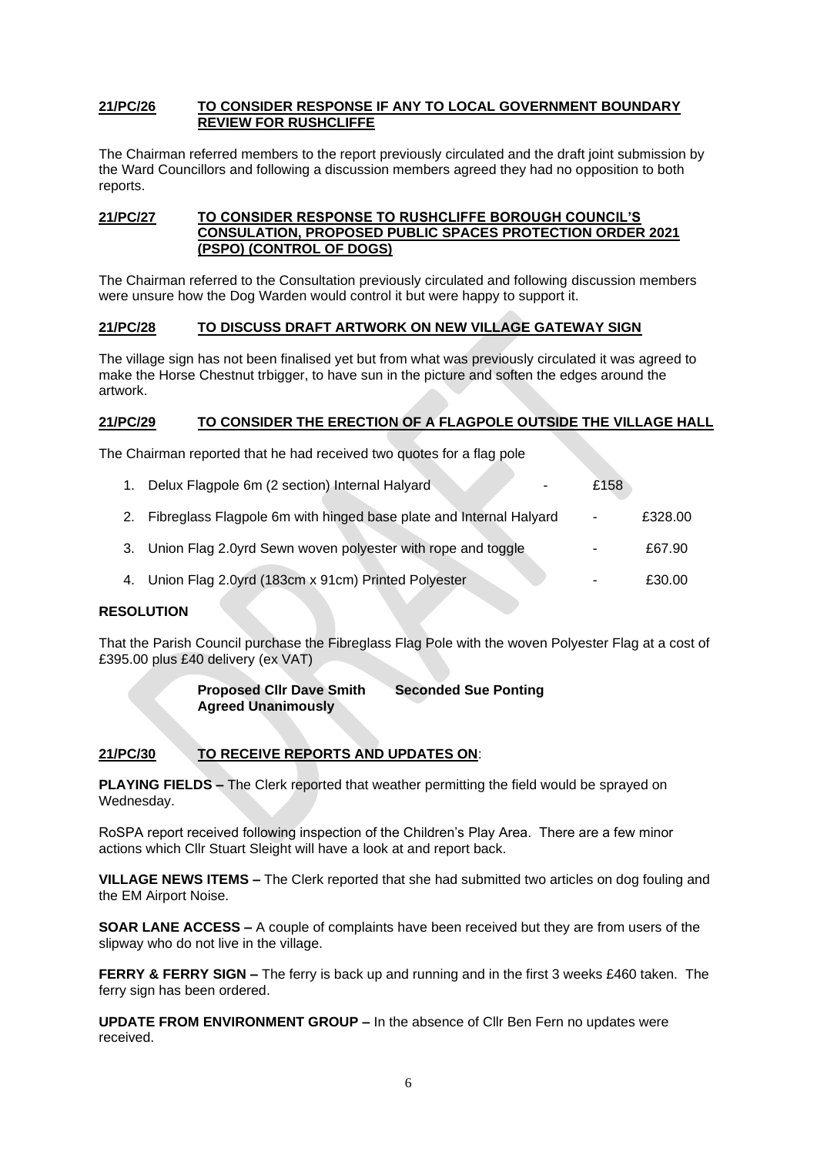#### **21/PC/26 TO CONSIDER RESPONSE IF ANY TO LOCAL GOVERNMENT BOUNDARY REVIEW FOR RUSHCLIFFE**

The Chairman referred members to the report previously circulated and the draft joint submission by the Ward Councillors and following a discussion members agreed they had no opposition to both reports.

### **21/PC/27 TO CONSIDER RESPONSE TO RUSHCLIFFE BOROUGH COUNCIL'S CONSULATION, PROPOSED PUBLIC SPACES PROTECTION ORDER 2021 (PSPO) (CONTROL OF DOGS)**

The Chairman referred to the Consultation previously circulated and following discussion members were unsure how the Dog Warden would control it but were happy to support it.

### **21/PC/28 TO DISCUSS DRAFT ARTWORK ON NEW VILLAGE GATEWAY SIGN**

The village sign has not been finalised yet but from what was previously circulated it was agreed to make the Horse Chestnut trbigger, to have sun in the picture and soften the edges around the artwork.

# **21/PC/29 TO CONSIDER THE ERECTION OF A FLAGPOLE OUTSIDE THE VILLAGE HALL**

The Chairman reported that he had received two quotes for a flag pole

| 1. Delux Flagpole 6m (2 section) Internal Halyard                     | £158 |         |
|-----------------------------------------------------------------------|------|---------|
| 2. Fibreglass Flagpole 6m with hinged base plate and Internal Halyard |      | £328.00 |
| 3. Union Flag 2.0yrd Sewn woven polyester with rope and toggle        |      | £67.90  |
| 4. Union Flag 2.0yrd (183cm x 91cm) Printed Polyester                 |      | £30.00  |

# **RESOLUTION**

That the Parish Council purchase the Fibreglass Flag Pole with the woven Polyester Flag at a cost of £395.00 plus £40 delivery (ex VAT)

> **Proposed Cllr Dave Smith Seconded Sue Ponting Agreed Unanimously**

### **21/PC/30 TO RECEIVE REPORTS AND UPDATES ON**:

**PLAYING FIELDS –** The Clerk reported that weather permitting the field would be sprayed on Wednesday.

RoSPA report received following inspection of the Children's Play Area. There are a few minor actions which Cllr Stuart Sleight will have a look at and report back.

**VILLAGE NEWS ITEMS –** The Clerk reported that she had submitted two articles on dog fouling and the EM Airport Noise.

**SOAR LANE ACCESS –** A couple of complaints have been received but they are from users of the slipway who do not live in the village.

**FERRY & FERRY SIGN –** The ferry is back up and running and in the first 3 weeks £460 taken. The ferry sign has been ordered.

**UPDATE FROM ENVIRONMENT GROUP –** In the absence of Cllr Ben Fern no updates were received.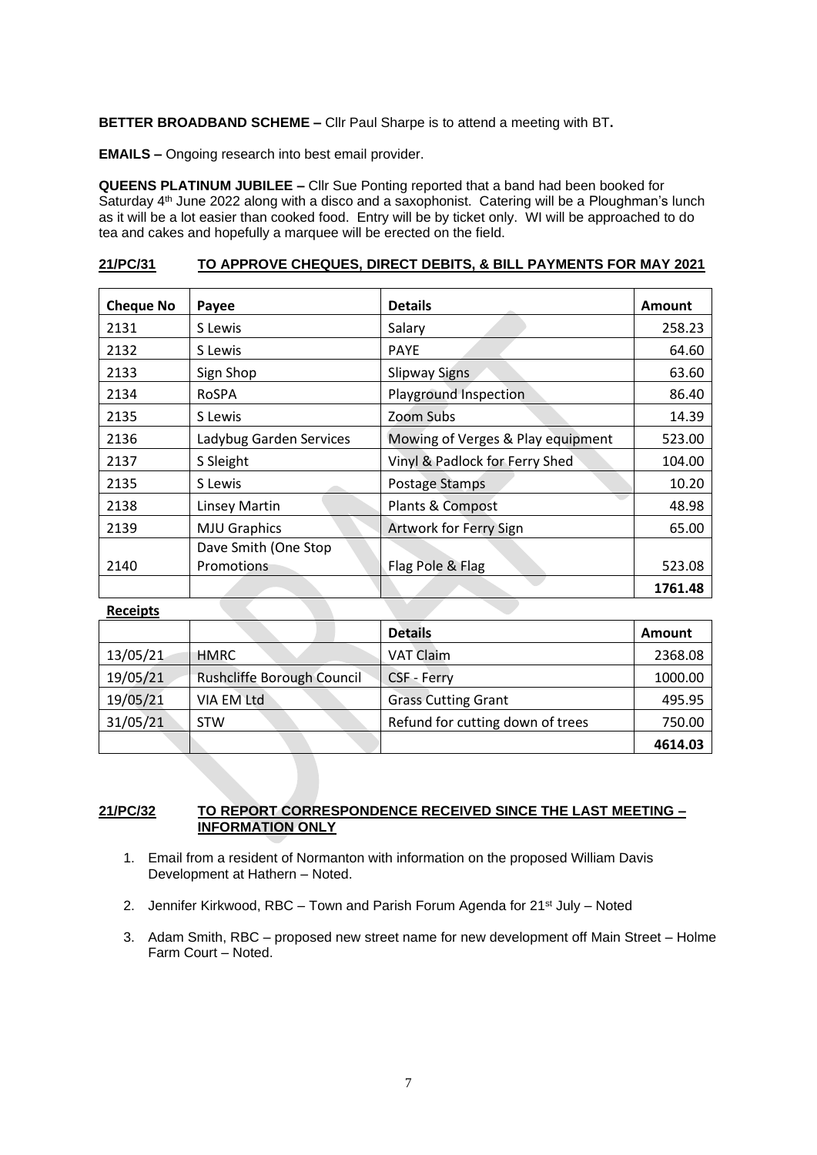**BETTER BROADBAND SCHEME –** Cllr Paul Sharpe is to attend a meeting with BT**.**

**EMAILS –** Ongoing research into best email provider.

**QUEENS PLATINUM JUBILEE –** Cllr Sue Ponting reported that a band had been booked for Saturday 4<sup>th</sup> June 2022 along with a disco and a saxophonist. Catering will be a Ploughman's lunch as it will be a lot easier than cooked food. Entry will be by ticket only. WI will be approached to do tea and cakes and hopefully a marquee will be erected on the field.

### **21/PC/31 TO APPROVE CHEQUES, DIRECT DEBITS, & BILL PAYMENTS FOR MAY 2021**

| <b>Cheque No</b> | Payee                   | <b>Details</b>                    | <b>Amount</b> |
|------------------|-------------------------|-----------------------------------|---------------|
| 2131             | S Lewis                 | Salary                            | 258.23        |
| 2132             | S Lewis                 | <b>PAYE</b>                       | 64.60         |
| 2133             | Sign Shop               | <b>Slipway Signs</b>              | 63.60         |
| 2134             | RoSPA                   | Playground Inspection             | 86.40         |
| 2135             | S Lewis                 | Zoom Subs                         | 14.39         |
| 2136             | Ladybug Garden Services | Mowing of Verges & Play equipment | 523.00        |
| 2137             | S Sleight               | Vinyl & Padlock for Ferry Shed    | 104.00        |
| 2135             | S Lewis                 | Postage Stamps                    | 10.20         |
| 2138             | Linsey Martin           | Plants & Compost                  | 48.98         |
| 2139             | <b>MJU Graphics</b>     | Artwork for Ferry Sign            | 65.00         |
|                  | Dave Smith (One Stop    |                                   |               |
| 2140             | Promotions              | Flag Pole & Flag                  | 523.08        |
|                  |                         |                                   | 1761.48       |

**Receipts**

|          |                            | <b>Details</b>                   | Amount  |
|----------|----------------------------|----------------------------------|---------|
| 13/05/21 | <b>HMRC</b>                | <b>VAT Claim</b>                 | 2368.08 |
| 19/05/21 | Rushcliffe Borough Council | CSF - Ferry                      | 1000.00 |
| 19/05/21 | VIA EM Ltd                 | <b>Grass Cutting Grant</b>       | 495.95  |
| 31/05/21 | <b>STW</b>                 | Refund for cutting down of trees | 750.00  |
|          |                            |                                  | 4614.03 |

### **21/PC/32 TO REPORT CORRESPONDENCE RECEIVED SINCE THE LAST MEETING – INFORMATION ONLY**

- 1. Email from a resident of Normanton with information on the proposed William Davis Development at Hathern – Noted.
- 2. Jennifer Kirkwood, RBC Town and Parish Forum Agenda for 21<sup>st</sup> July Noted
- 3. Adam Smith, RBC proposed new street name for new development off Main Street Holme Farm Court – Noted.